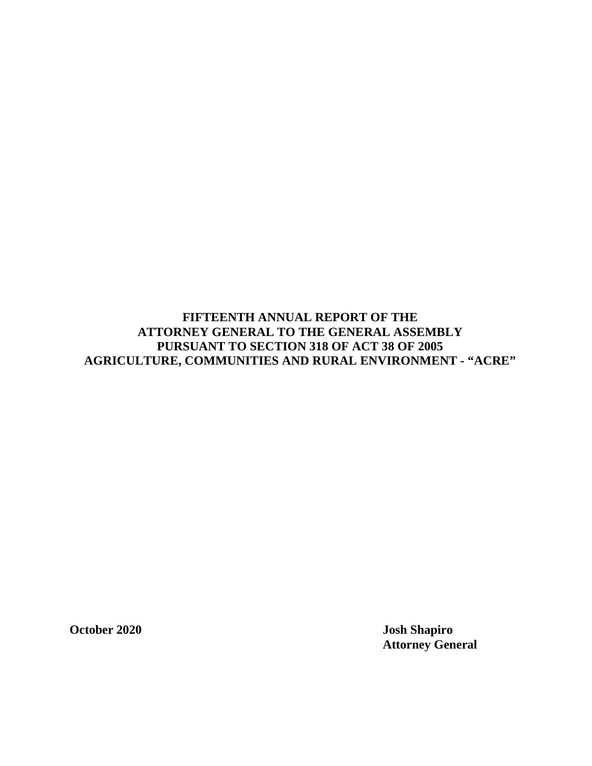**FIFTEENTH ANNUAL REPORT OF THE ATTORNEY GENERAL TO THE GENERAL ASSEMBLY PURSUANT TO SECTION 318 OF ACT 38 OF 2005 AGRICULTURE, COMMUNITIES AND RURAL ENVIRONMENT - "ACRE"** 

**October 2020 Josh Shapiro Attorney General**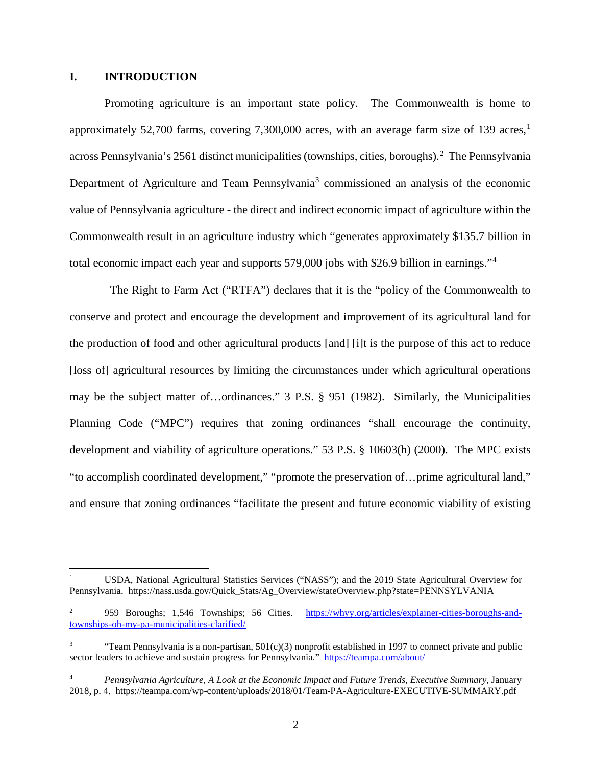## **I. INTRODUCTION**

Promoting agriculture is an important state policy. The Commonwealth is home to approximately 52,700 farms, covering 7,300,000 acres, with an average farm size of [1](#page-1-0)39 acres,<sup>1</sup> across Pennsylvania's [2](#page-1-1)561 distinct municipalities (townships, cities, boroughs).<sup>2</sup> The Pennsylvania Department of Agriculture and Team Pennsylvania<sup>[3](#page-1-2)</sup> commissioned an analysis of the economic value of Pennsylvania agriculture - the direct and indirect economic impact of agriculture within the Commonwealth result in an agriculture industry which "generates approximately \$135.7 billion in total economic impact each year and supports 579,000 jobs with \$26.9 billion in earnings."[4](#page-1-3)

 The Right to Farm Act ("RTFA") declares that it is the "policy of the Commonwealth to conserve and protect and encourage the development and improvement of its agricultural land for the production of food and other agricultural products [and] [i]t is the purpose of this act to reduce [loss of] agricultural resources by limiting the circumstances under which agricultural operations may be the subject matter of…ordinances." 3 P.S. § 951 (1982). Similarly, the Municipalities Planning Code ("MPC") requires that zoning ordinances "shall encourage the continuity, development and viability of agriculture operations." 53 P.S. § 10603(h) (2000). The MPC exists "to accomplish coordinated development," "promote the preservation of…prime agricultural land," and ensure that zoning ordinances "facilitate the present and future economic viability of existing

<span id="page-1-0"></span> <sup>1</sup> USDA, National Agricultural Statistics Services ("NASS"); and the 2019 State Agricultural Overview for Pennsylvania. [https://nass.usda.gov/Quick\\_Stats/Ag\\_Overview/stateOverview.php?state=PENNSYLVANIA](https://nass.usda.gov/Quick_Stats/Ag_Overview/stateOverview.php?state=PENNSYLVANIA)

<span id="page-1-1"></span><sup>&</sup>lt;sup>2</sup> 959 Boroughs; 1,546 Townships; 56 Cities. [https://whyy.org/articles/explainer-cities-boroughs-and](https://whyy.org/articles/explainer-cities-boroughs-and-townships-oh-my-pa-municipalities-clarified/)[townships-oh-my-pa-municipalities-clarified/](https://whyy.org/articles/explainer-cities-boroughs-and-townships-oh-my-pa-municipalities-clarified/)

<span id="page-1-2"></span><sup>&</sup>quot;Team Pennsylvania is a non-partisan,  $501(c)(3)$  nonprofit established in 1997 to connect private and public sector leaders to achieve and sustain progress for Pennsylvania." <https://teampa.com/about/>

<span id="page-1-3"></span><sup>4</sup> *Pennsylvania Agriculture, A Look at the Economic Impact and Future Trends, Executive Summary,* January 2018, p. 4. https://teampa.com/wp-content/uploads/2018/01/Team-PA-Agriculture-EXECUTIVE-SUMMARY.pdf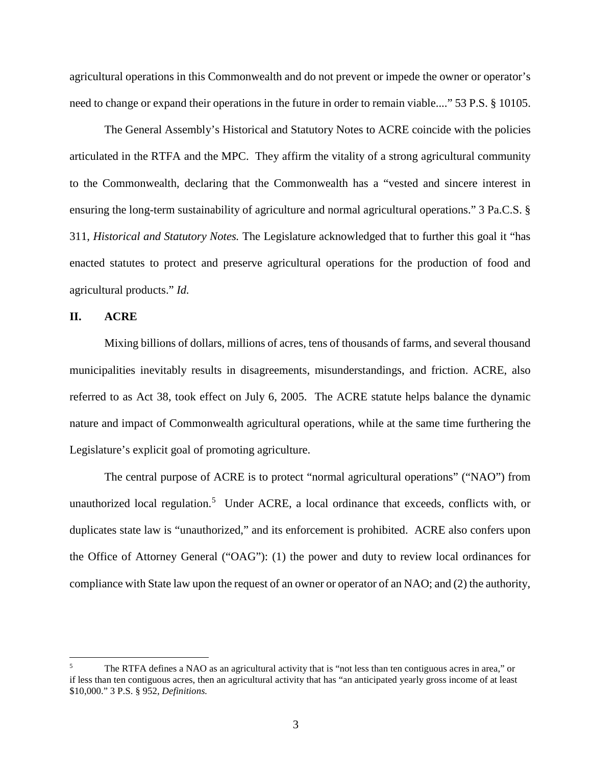agricultural operations in this Commonwealth and do not prevent or impede the owner or operator's need to change or expand their operations in the future in order to remain viable...." 53 P.S. § 10105.

The General Assembly's Historical and Statutory Notes to ACRE coincide with the policies articulated in the RTFA and the MPC. They affirm the vitality of a strong agricultural community to the Commonwealth, declaring that the Commonwealth has a "vested and sincere interest in ensuring the long-term sustainability of agriculture and normal agricultural operations." 3 Pa.C.S. § 311, *Historical and Statutory Notes.* The Legislature acknowledged that to further this goal it "has enacted statutes to protect and preserve agricultural operations for the production of food and agricultural products." *Id.*

### **II. ACRE**

Mixing billions of dollars, millions of acres, tens of thousands of farms, and several thousand municipalities inevitably results in disagreements, misunderstandings, and friction. ACRE, also referred to as Act 38, took effect on July 6, 2005. The ACRE statute helps balance the dynamic nature and impact of Commonwealth agricultural operations, while at the same time furthering the Legislature's explicit goal of promoting agriculture.

The central purpose of ACRE is to protect "normal agricultural operations" ("NAO") from unauthorized local regulation.<sup>[5](#page-2-0)</sup> Under ACRE, a local ordinance that exceeds, conflicts with, or duplicates state law is "unauthorized," and its enforcement is prohibited. ACRE also confers upon the Office of Attorney General ("OAG"): (1) the power and duty to review local ordinances for compliance with State law upon the request of an owner or operator of an NAO; and (2) the authority,

<span id="page-2-0"></span><sup>&</sup>lt;sup>5</sup> The RTFA defines a NAO as an agricultural activity that is "not less than ten contiguous acres in area," or if less than ten contiguous acres, then an agricultural activity that has "an anticipated yearly gross income of at least \$10,000." 3 P.S. § 952, *Definitions.*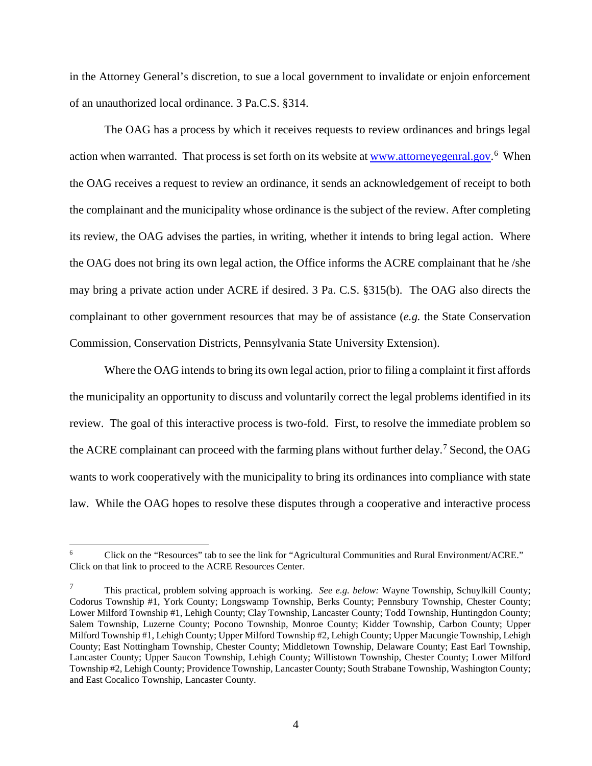in the Attorney General's discretion, to sue a local government to invalidate or enjoin enforcement of an unauthorized local ordinance. 3 Pa.C.S. §314.

The OAG has a process by which it receives requests to review ordinances and brings legal action when warranted. That process is set forth on its website at **www.attorneyegenral.gov.**<sup>[6](#page-3-0)</sup> When the OAG receives a request to review an ordinance, it sends an acknowledgement of receipt to both the complainant and the municipality whose ordinance is the subject of the review. After completing its review, the OAG advises the parties, in writing, whether it intends to bring legal action. Where the OAG does not bring its own legal action, the Office informs the ACRE complainant that he /she may bring a private action under ACRE if desired. 3 Pa. C.S. §315(b). The OAG also directs the complainant to other government resources that may be of assistance (*e.g.* the State Conservation Commission*,* Conservation Districts, Pennsylvania State University Extension).

Where the OAG intends to bring its own legal action, prior to filing a complaint it first affords the municipality an opportunity to discuss and voluntarily correct the legal problems identified in its review. The goal of this interactive process is two-fold. First, to resolve the immediate problem so the ACRE complainant can proceed with the farming plans without further delay.<sup>[7](#page-3-1)</sup> Second, the OAG wants to work cooperatively with the municipality to bring its ordinances into compliance with state law. While the OAG hopes to resolve these disputes through a cooperative and interactive process

<span id="page-3-0"></span> <sup>6</sup> Click on the "Resources" tab to see the link for "Agricultural Communities and Rural Environment/ACRE." Click on that link to proceed to the ACRE Resources Center.

<span id="page-3-1"></span><sup>7</sup> This practical, problem solving approach is working. *See e.g. below:* Wayne Township, Schuylkill County; Codorus Township #1, York County; Longswamp Township, Berks County; Pennsbury Township, Chester County; Lower Milford Township #1, Lehigh County; Clay Township, Lancaster County; Todd Township, Huntingdon County; Salem Township, Luzerne County; Pocono Township, Monroe County; Kidder Township, Carbon County; Upper Milford Township #1, Lehigh County; Upper Milford Township #2, Lehigh County; Upper Macungie Township, Lehigh County; East Nottingham Township, Chester County; Middletown Township, Delaware County; East Earl Township, Lancaster County; Upper Saucon Township, Lehigh County; Willistown Township, Chester County; Lower Milford Township #2, Lehigh County; Providence Township, Lancaster County; South Strabane Township, Washington County; and East Cocalico Township, Lancaster County.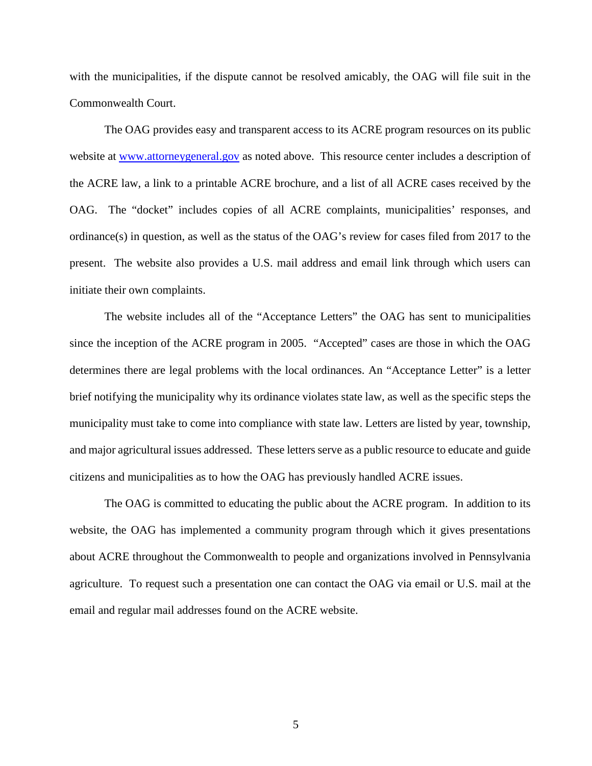with the municipalities, if the dispute cannot be resolved amicably, the OAG will file suit in the Commonwealth Court.

The OAG provides easy and transparent access to its ACRE program resources on its public website at [www.attorneygeneral.gov](http://www.attorneygeneral.gov/) as noted above. This resource center includes a description of the ACRE law, a link to a printable ACRE brochure, and a list of all ACRE cases received by the OAG. The "docket" includes copies of all ACRE complaints, municipalities' responses, and ordinance(s) in question, as well as the status of the OAG's review for cases filed from 2017 to the present. The website also provides a U.S. mail address and email link through which users can initiate their own complaints.

The website includes all of the "Acceptance Letters" the OAG has sent to municipalities since the inception of the ACRE program in 2005. "Accepted" cases are those in which the OAG determines there are legal problems with the local ordinances. An "Acceptance Letter" is a letter brief notifying the municipality why its ordinance violates state law, as well as the specific steps the municipality must take to come into compliance with state law. Letters are listed by year, township, and major agricultural issues addressed. These letters serve as a public resource to educate and guide citizens and municipalities as to how the OAG has previously handled ACRE issues.

The OAG is committed to educating the public about the ACRE program. In addition to its website, the OAG has implemented a community program through which it gives presentations about ACRE throughout the Commonwealth to people and organizations involved in Pennsylvania agriculture. To request such a presentation one can contact the OAG via email or U.S. mail at the email and regular mail addresses found on the ACRE website.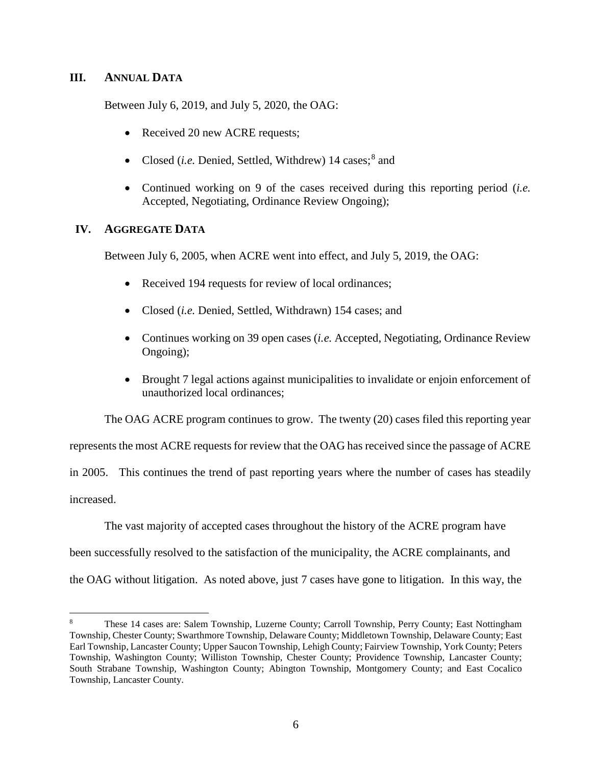## **III. ANNUAL DATA**

Between July 6, 2019, and July 5, 2020, the OAG:

- Received 20 new ACRE requests;
- Closed (*i.e.* Denied, Settled, Withdrew) 14 cases;<sup>[8](#page-5-0)</sup> and
- Continued working on 9 of the cases received during this reporting period (*i.e.*  Accepted, Negotiating, Ordinance Review Ongoing);

## **IV. AGGREGATE DATA**

Between July 6, 2005, when ACRE went into effect, and July 5, 2019, the OAG:

- Received 194 requests for review of local ordinances;
- Closed (*i.e.* Denied, Settled, Withdrawn) 154 cases; and
- Continues working on 39 open cases (*i.e.* Accepted, Negotiating, Ordinance Review Ongoing);
- Brought 7 legal actions against municipalities to invalidate or enjoin enforcement of unauthorized local ordinances;

The OAG ACRE program continues to grow. The twenty (20) cases filed this reporting year

represents the most ACRE requests for review that the OAG has received since the passage of ACRE

in 2005. This continues the trend of past reporting years where the number of cases has steadily increased.

The vast majority of accepted cases throughout the history of the ACRE program have

been successfully resolved to the satisfaction of the municipality, the ACRE complainants, and

the OAG without litigation. As noted above, just 7 cases have gone to litigation. In this way, the

<span id="page-5-0"></span> <sup>8</sup> These 14 cases are: Salem Township, Luzerne County; Carroll Township, Perry County; East Nottingham Township, Chester County; Swarthmore Township, Delaware County; Middletown Township, Delaware County; East Earl Township, Lancaster County; Upper Saucon Township, Lehigh County; Fairview Township, York County; Peters Township, Washington County; Williston Township, Chester County; Providence Township, Lancaster County; South Strabane Township, Washington County; Abington Township, Montgomery County; and East Cocalico Township, Lancaster County.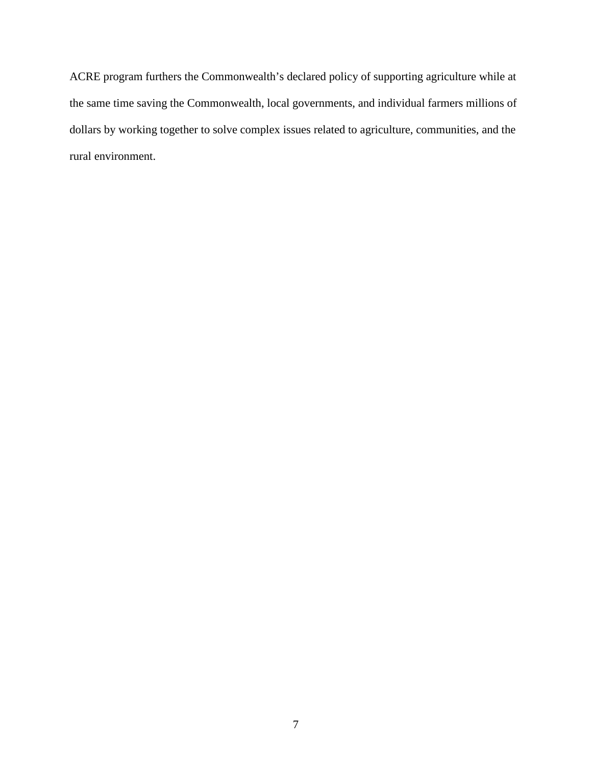ACRE program furthers the Commonwealth's declared policy of supporting agriculture while at the same time saving the Commonwealth, local governments, and individual farmers millions of dollars by working together to solve complex issues related to agriculture, communities, and the rural environment.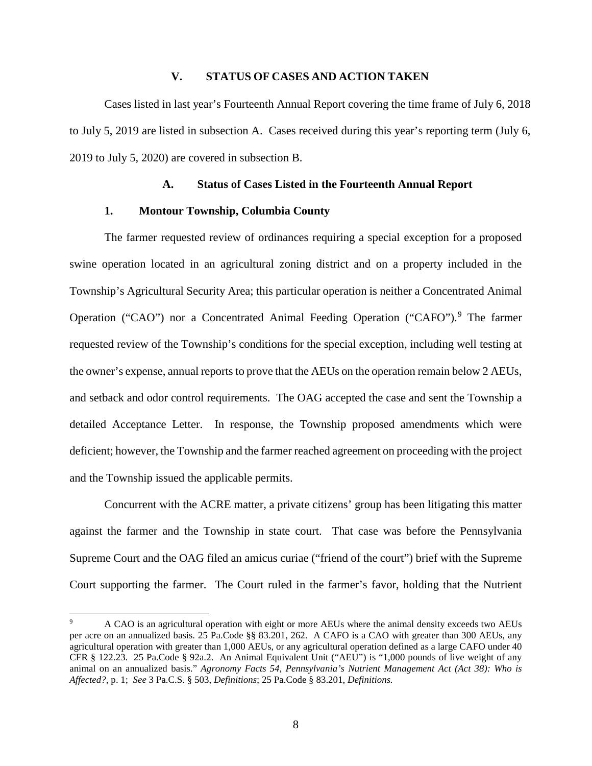## **V. STATUS OF CASES AND ACTION TAKEN**

Cases listed in last year's Fourteenth Annual Report covering the time frame of July 6, 2018 to July 5, 2019 are listed in subsection A. Cases received during this year's reporting term (July 6, 2019 to July 5, 2020) are covered in subsection B.

#### **A. Status of Cases Listed in the Fourteenth Annual Report**

### **1. Montour Township, Columbia County**

The farmer requested review of ordinances requiring a special exception for a proposed swine operation located in an agricultural zoning district and on a property included in the Township's Agricultural Security Area; this particular operation is neither a Concentrated Animal Operation ("CAO") nor a Concentrated Animal Feeding Operation ("CAFO"). [9](#page-7-0) The farmer requested review of the Township's conditions for the special exception, including well testing at the owner's expense, annual reports to prove that the AEUs on the operation remain below 2 AEUs, and setback and odor control requirements. The OAG accepted the case and sent the Township a detailed Acceptance Letter. In response, the Township proposed amendments which were deficient; however, the Township and the farmer reached agreement on proceeding with the project and the Township issued the applicable permits.

Concurrent with the ACRE matter, a private citizens' group has been litigating this matter against the farmer and the Township in state court. That case was before the Pennsylvania Supreme Court and the OAG filed an amicus curiae ("friend of the court") brief with the Supreme Court supporting the farmer. The Court ruled in the farmer's favor, holding that the Nutrient

<span id="page-7-0"></span> <sup>9</sup> A CAO is an agricultural operation with eight or more AEUs where the animal density exceeds two AEUs per acre on an annualized basis. 25 Pa.Code §§ 83.201, 262. A CAFO is a CAO with greater than 300 AEUs, any agricultural operation with greater than 1,000 AEUs, or any agricultural operation defined as a large CAFO under 40 CFR § 122.23. 25 Pa.Code § 92a.2. An Animal Equivalent Unit ("AEU") is "1,000 pounds of live weight of any animal on an annualized basis." *Agronomy Facts 54, Pennsylvania's Nutrient Management Act (Act 38): Who is Affected?,* p. 1; *See* 3 Pa.C.S. § 503, *Definitions*; 25 Pa.Code § 83.201, *Definitions.*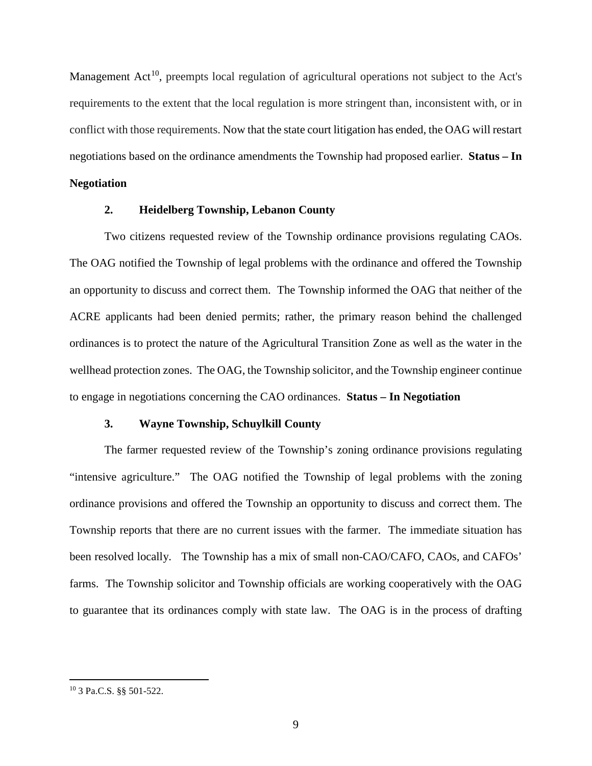Management Act<sup>10</sup>, preempts local regulation of agricultural operations not subject to the Act's requirements to the extent that the local regulation is more stringent than, inconsistent with, or in conflict with those requirements. Now that the state court litigation has ended, the OAG will restart negotiations based on the ordinance amendments the Township had proposed earlier. **Status – In** 

## **Negotiation**

## **2. Heidelberg Township, Lebanon County**

Two citizens requested review of the Township ordinance provisions regulating CAOs. The OAG notified the Township of legal problems with the ordinance and offered the Township an opportunity to discuss and correct them. The Township informed the OAG that neither of the ACRE applicants had been denied permits; rather, the primary reason behind the challenged ordinances is to protect the nature of the Agricultural Transition Zone as well as the water in the wellhead protection zones. The OAG, the Township solicitor, and the Township engineer continue to engage in negotiations concerning the CAO ordinances. **Status – In Negotiation**

## **3. Wayne Township, Schuylkill County**

The farmer requested review of the Township's zoning ordinance provisions regulating "intensive agriculture." The OAG notified the Township of legal problems with the zoning ordinance provisions and offered the Township an opportunity to discuss and correct them. The Township reports that there are no current issues with the farmer. The immediate situation has been resolved locally. The Township has a mix of small non-CAO/CAFO, CAOs, and CAFOs' farms. The Township solicitor and Township officials are working cooperatively with the OAG to guarantee that its ordinances comply with state law. The OAG is in the process of drafting

<span id="page-8-0"></span> <sup>10</sup> 3 Pa.C.S. §§ 501-522.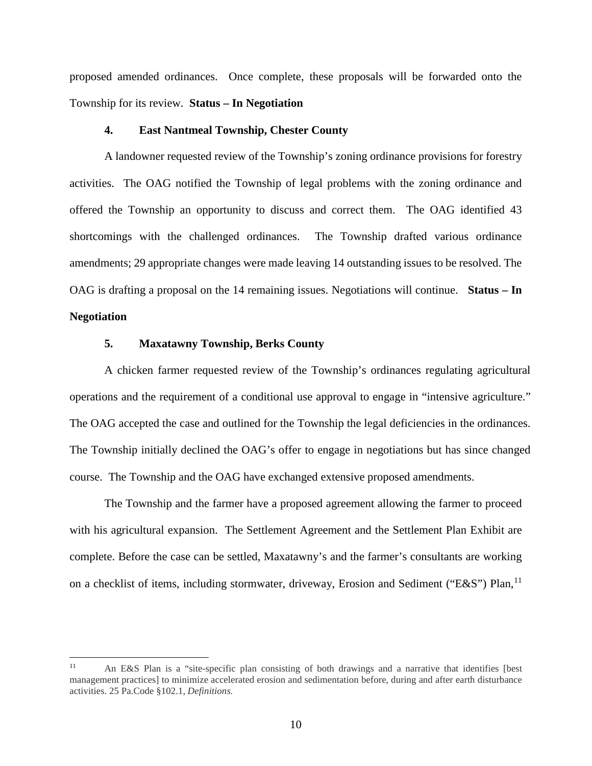proposed amended ordinances. Once complete, these proposals will be forwarded onto the Township for its review. **Status – In Negotiation**

## **4. East Nantmeal Township, Chester County**

A landowner requested review of the Township's zoning ordinance provisions for forestry activities. The OAG notified the Township of legal problems with the zoning ordinance and offered the Township an opportunity to discuss and correct them. The OAG identified 43 shortcomings with the challenged ordinances. The Township drafted various ordinance amendments; 29 appropriate changes were made leaving 14 outstanding issues to be resolved. The OAG is drafting a proposal on the 14 remaining issues. Negotiations will continue. **Status – In Negotiation**

#### **5. Maxatawny Township, Berks County**

A chicken farmer requested review of the Township's ordinances regulating agricultural operations and the requirement of a conditional use approval to engage in "intensive agriculture." The OAG accepted the case and outlined for the Township the legal deficiencies in the ordinances. The Township initially declined the OAG's offer to engage in negotiations but has since changed course. The Township and the OAG have exchanged extensive proposed amendments.

The Township and the farmer have a proposed agreement allowing the farmer to proceed with his agricultural expansion. The Settlement Agreement and the Settlement Plan Exhibit are complete. Before the case can be settled, Maxatawny's and the farmer's consultants are working on a checklist of items, including stormwater, driveway, Erosion and Sediment ("E&S") Plan, <sup>[11](#page-9-0)</sup>

<span id="page-9-0"></span> <sup>11</sup> An E&S Plan is a "site-specific plan consisting of both drawings and a narrative that identifies [best management practices] to minimize accelerated erosion and sedimentation before, during and after earth disturbance activities. 25 Pa.Code §102.1, *Definitions.*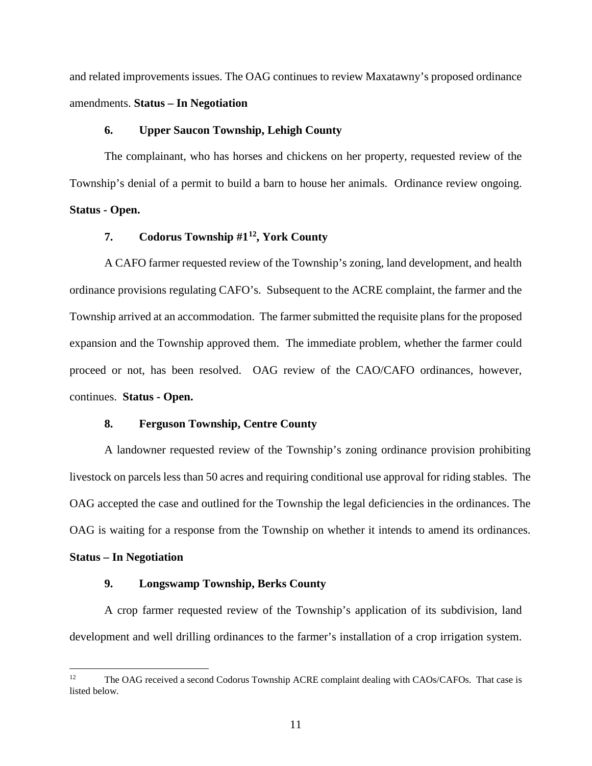and related improvements issues. The OAG continues to review Maxatawny's proposed ordinance amendments. **Status – In Negotiation**

### **6. Upper Saucon Township, Lehigh County**

The complainant, who has horses and chickens on her property, requested review of the Township's denial of a permit to build a barn to house her animals. Ordinance review ongoing. **Status - Open.**

## **7. Codorus Township #1[12](#page-10-0), York County**

A CAFO farmer requested review of the Township's zoning, land development, and health ordinance provisions regulating CAFO's. Subsequent to the ACRE complaint, the farmer and the Township arrived at an accommodation. The farmer submitted the requisite plans for the proposed expansion and the Township approved them. The immediate problem, whether the farmer could proceed or not, has been resolved. OAG review of the CAO/CAFO ordinances, however, continues. **Status - Open.**

### **8. Ferguson Township, Centre County**

A landowner requested review of the Township's zoning ordinance provision prohibiting livestock on parcels less than 50 acres and requiring conditional use approval for riding stables. The OAG accepted the case and outlined for the Township the legal deficiencies in the ordinances. The OAG is waiting for a response from the Township on whether it intends to amend its ordinances.

### **Status – In Negotiation**

### **9. Longswamp Township, Berks County**

A crop farmer requested review of the Township's application of its subdivision, land development and well drilling ordinances to the farmer's installation of a crop irrigation system.

<span id="page-10-0"></span><sup>&</sup>lt;sup>12</sup> The OAG received a second Codorus Township ACRE complaint dealing with CAOs/CAFOs. That case is listed below.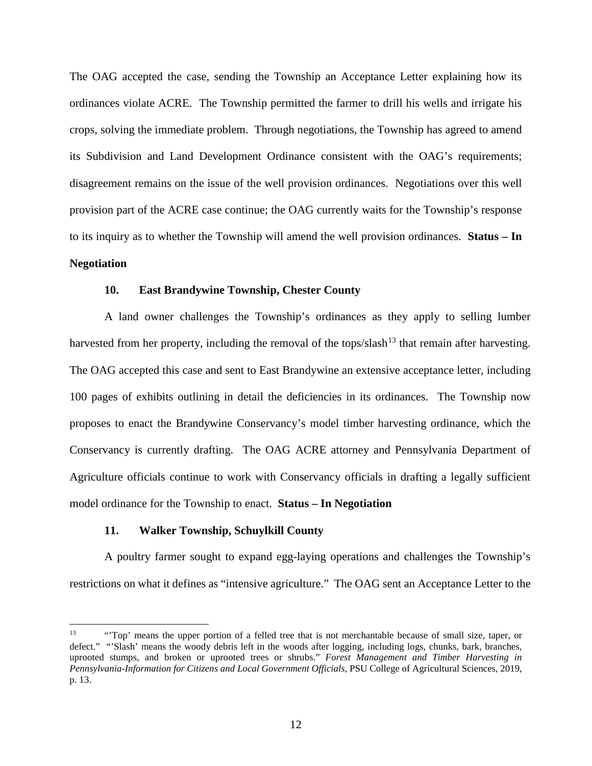The OAG accepted the case, sending the Township an Acceptance Letter explaining how its ordinances violate ACRE. The Township permitted the farmer to drill his wells and irrigate his crops, solving the immediate problem. Through negotiations, the Township has agreed to amend its Subdivision and Land Development Ordinance consistent with the OAG's requirements; disagreement remains on the issue of the well provision ordinances. Negotiations over this well provision part of the ACRE case continue; the OAG currently waits for the Township's response to its inquiry as to whether the Township will amend the well provision ordinances. **Status – In Negotiation**

### **10. East Brandywine Township, Chester County**

A land owner challenges the Township's ordinances as they apply to selling lumber harvested from her property, including the removal of the tops/slash<sup>[13](#page-11-0)</sup> that remain after harvesting. The OAG accepted this case and sent to East Brandywine an extensive acceptance letter, including 100 pages of exhibits outlining in detail the deficiencies in its ordinances. The Township now proposes to enact the Brandywine Conservancy's model timber harvesting ordinance, which the Conservancy is currently drafting. The OAG ACRE attorney and Pennsylvania Department of Agriculture officials continue to work with Conservancy officials in drafting a legally sufficient model ordinance for the Township to enact. **Status – In Negotiation**

## **11. Walker Township, Schuylkill County**

A poultry farmer sought to expand egg-laying operations and challenges the Township's restrictions on what it defines as "intensive agriculture." The OAG sent an Acceptance Letter to the

<span id="page-11-0"></span><sup>&</sup>lt;sup>13</sup> "Top' means the upper portion of a felled tree that is not merchantable because of small size, taper, or defect." "Slash' means the woody debris left in the woods after logging, including logs, chunks, bark, branches, uprooted stumps, and broken or uprooted trees or shrubs." *Forest Management and Timber Harvesting in Pennsylvania-Information for Citizens and Local Government Officials,* PSU College of Agricultural Sciences, 2019, p. 13.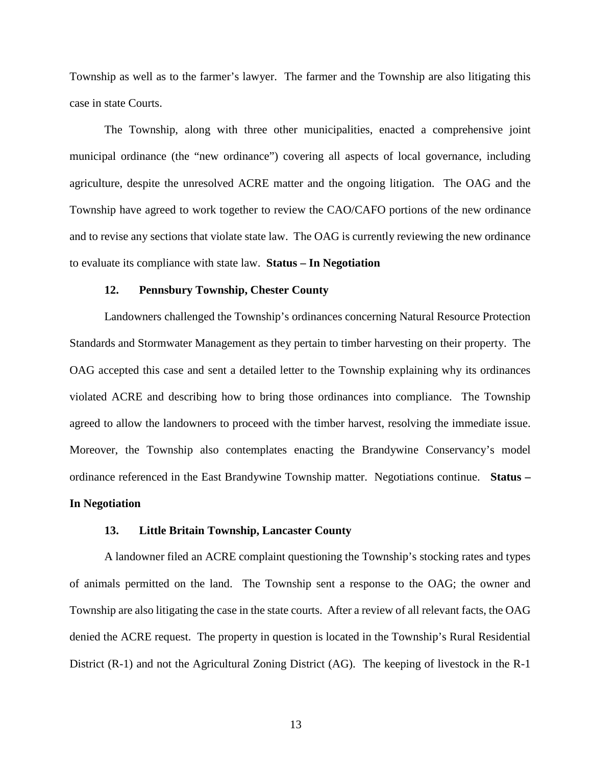Township as well as to the farmer's lawyer. The farmer and the Township are also litigating this case in state Courts.

The Township, along with three other municipalities, enacted a comprehensive joint municipal ordinance (the "new ordinance") covering all aspects of local governance, including agriculture, despite the unresolved ACRE matter and the ongoing litigation. The OAG and the Township have agreed to work together to review the CAO/CAFO portions of the new ordinance and to revise any sections that violate state law. The OAG is currently reviewing the new ordinance to evaluate its compliance with state law. **Status – In Negotiation**

### **12. Pennsbury Township, Chester County**

Landowners challenged the Township's ordinances concerning Natural Resource Protection Standards and Stormwater Management as they pertain to timber harvesting on their property. The OAG accepted this case and sent a detailed letter to the Township explaining why its ordinances violated ACRE and describing how to bring those ordinances into compliance. The Township agreed to allow the landowners to proceed with the timber harvest, resolving the immediate issue. Moreover, the Township also contemplates enacting the Brandywine Conservancy's model ordinance referenced in the East Brandywine Township matter. Negotiations continue. **Status – In Negotiation**

### **13. Little Britain Township, Lancaster County**

A landowner filed an ACRE complaint questioning the Township's stocking rates and types of animals permitted on the land. The Township sent a response to the OAG; the owner and Township are also litigating the case in the state courts. After a review of all relevant facts, the OAG denied the ACRE request. The property in question is located in the Township's Rural Residential District (R-1) and not the Agricultural Zoning District (AG). The keeping of livestock in the R-1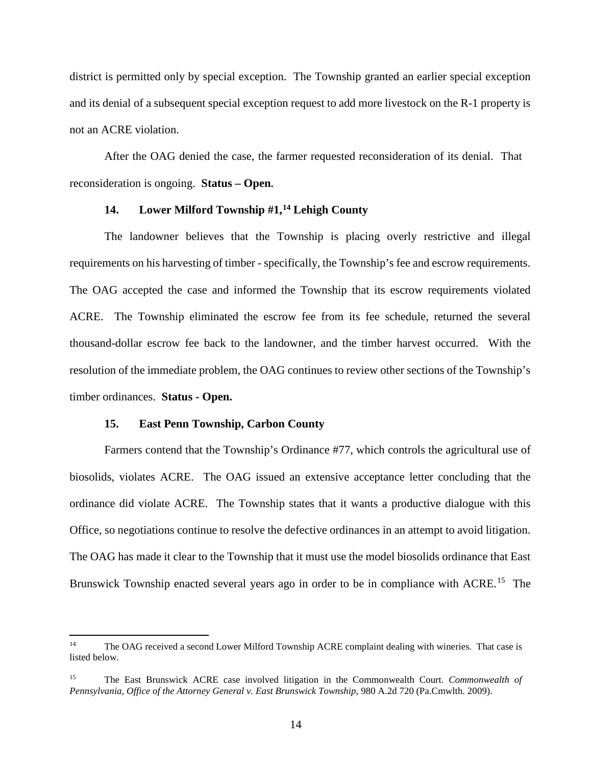district is permitted only by special exception. The Township granted an earlier special exception and its denial of a subsequent special exception request to add more livestock on the R-1 property is not an ACRE violation.

After the OAG denied the case, the farmer requested reconsideration of its denial. That reconsideration is ongoing. **Status – Open.**

## **14. Lower Milford Township #1, [14](#page-13-0) Lehigh County**

The landowner believes that the Township is placing overly restrictive and illegal requirements on his harvesting of timber - specifically, the Township's fee and escrow requirements. The OAG accepted the case and informed the Township that its escrow requirements violated ACRE. The Township eliminated the escrow fee from its fee schedule, returned the several thousand-dollar escrow fee back to the landowner, and the timber harvest occurred. With the resolution of the immediate problem, the OAG continues to review other sections of the Township's timber ordinances. **Status - Open.**

## **15. East Penn Township, Carbon County**

Farmers contend that the Township's Ordinance #77, which controls the agricultural use of biosolids, violates ACRE. The OAG issued an extensive acceptance letter concluding that the ordinance did violate ACRE. The Township states that it wants a productive dialogue with this Office, so negotiations continue to resolve the defective ordinances in an attempt to avoid litigation. The OAG has made it clear to the Township that it must use the model biosolids ordinance that East Brunswick Township enacted several years ago in order to be in compliance with ACRE.<sup>15</sup> The

<span id="page-13-0"></span><sup>&</sup>lt;sup>14</sup> The OAG received a second Lower Milford Township ACRE complaint dealing with wineries. That case is listed below.

<span id="page-13-1"></span><sup>15</sup> The East Brunswick ACRE case involved litigation in the Commonwealth Court. *Commonwealth of Pennsylvania, Office of the Attorney General v. East Brunswick Township,* 980 A.2d 720 (Pa.Cmwlth. 2009).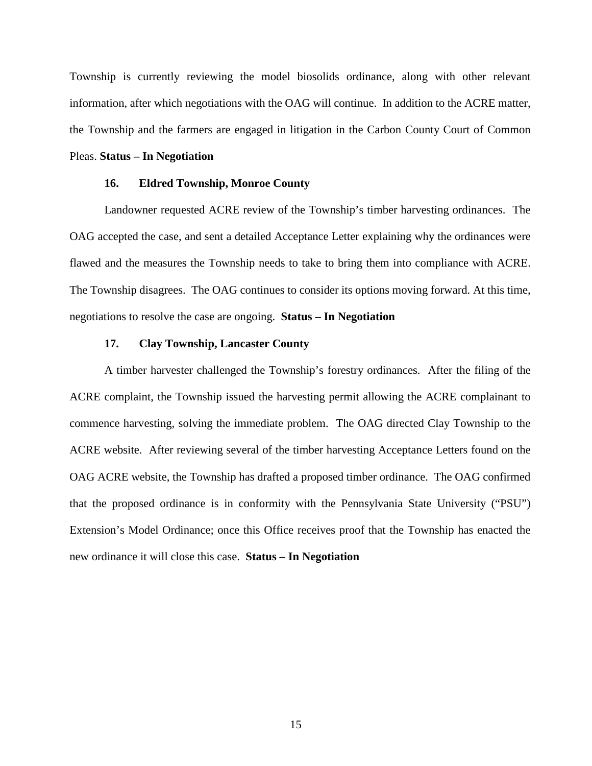Township is currently reviewing the model biosolids ordinance, along with other relevant information, after which negotiations with the OAG will continue. In addition to the ACRE matter, the Township and the farmers are engaged in litigation in the Carbon County Court of Common

## Pleas. **Status – In Negotiation**

### **16. Eldred Township, Monroe County**

Landowner requested ACRE review of the Township's timber harvesting ordinances. The OAG accepted the case, and sent a detailed Acceptance Letter explaining why the ordinances were flawed and the measures the Township needs to take to bring them into compliance with ACRE. The Township disagrees. The OAG continues to consider its options moving forward. At this time, negotiations to resolve the case are ongoing. **Status – In Negotiation**

### **17. Clay Township, Lancaster County**

A timber harvester challenged the Township's forestry ordinances. After the filing of the ACRE complaint, the Township issued the harvesting permit allowing the ACRE complainant to commence harvesting, solving the immediate problem. The OAG directed Clay Township to the ACRE website. After reviewing several of the timber harvesting Acceptance Letters found on the OAG ACRE website, the Township has drafted a proposed timber ordinance. The OAG confirmed that the proposed ordinance is in conformity with the Pennsylvania State University ("PSU") Extension's Model Ordinance; once this Office receives proof that the Township has enacted the new ordinance it will close this case. **Status – In Negotiation**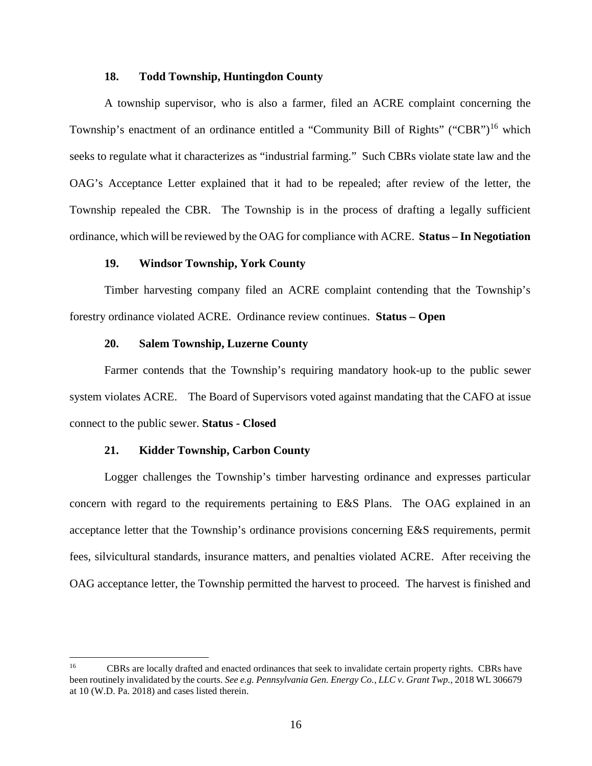## **18. Todd Township, Huntingdon County**

A township supervisor, who is also a farmer, filed an ACRE complaint concerning the Township's enactment of an ordinance entitled a "Community Bill of Rights" ("CBR")<sup>[16](#page-15-0)</sup> which seeks to regulate what it characterizes as "industrial farming." Such CBRs violate state law and the OAG's Acceptance Letter explained that it had to be repealed; after review of the letter, the Township repealed the CBR. The Township is in the process of drafting a legally sufficient ordinance, which will be reviewed by the OAG for compliance with ACRE. **Status – In Negotiation**

## **19. Windsor Township, York County**

Timber harvesting company filed an ACRE complaint contending that the Township's forestry ordinance violated ACRE. Ordinance review continues. **Status – Open**

#### **20. Salem Township, Luzerne County**

Farmer contends that the Township's requiring mandatory hook-up to the public sewer system violates ACRE. The Board of Supervisors voted against mandating that the CAFO at issue connect to the public sewer. **Status - Closed**

### **21. Kidder Township, Carbon County**

Logger challenges the Township's timber harvesting ordinance and expresses particular concern with regard to the requirements pertaining to E&S Plans. The OAG explained in an acceptance letter that the Township's ordinance provisions concerning E&S requirements, permit fees, silvicultural standards, insurance matters, and penalties violated ACRE. After receiving the OAG acceptance letter, the Township permitted the harvest to proceed. The harvest is finished and

<span id="page-15-0"></span><sup>&</sup>lt;sup>16</sup> CBRs are locally drafted and enacted ordinances that seek to invalidate certain property rights. CBRs have been routinely invalidated by the courts. *See e.g. Pennsylvania Gen. Energy Co., LLC v. Grant Twp.*, 2018 WL 306679 at 10 (W.D. Pa. 2018) and cases listed therein.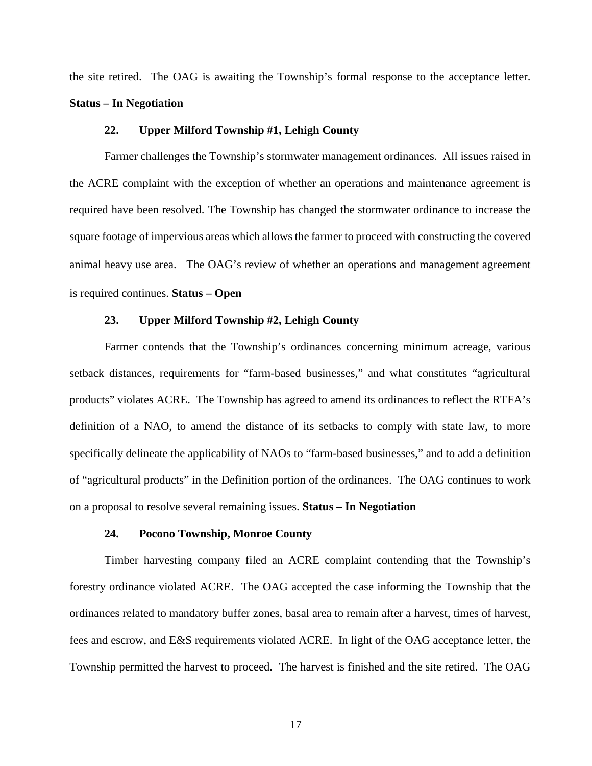the site retired. The OAG is awaiting the Township's formal response to the acceptance letter. **Status – In Negotiation**

## **22. Upper Milford Township #1, Lehigh County**

Farmer challenges the Township's stormwater management ordinances. All issues raised in the ACRE complaint with the exception of whether an operations and maintenance agreement is required have been resolved. The Township has changed the stormwater ordinance to increase the square footage of impervious areas which allows the farmer to proceed with constructing the covered animal heavy use area. The OAG's review of whether an operations and management agreement is required continues. **Status – Open** 

## **23. Upper Milford Township #2, Lehigh County**

Farmer contends that the Township's ordinances concerning minimum acreage, various setback distances, requirements for "farm-based businesses," and what constitutes "agricultural products" violates ACRE. The Township has agreed to amend its ordinances to reflect the RTFA's definition of a NAO, to amend the distance of its setbacks to comply with state law, to more specifically delineate the applicability of NAOs to "farm-based businesses," and to add a definition of "agricultural products" in the Definition portion of the ordinances. The OAG continues to work on a proposal to resolve several remaining issues. **Status – In Negotiation**

#### **24. Pocono Township, Monroe County**

Timber harvesting company filed an ACRE complaint contending that the Township's forestry ordinance violated ACRE. The OAG accepted the case informing the Township that the ordinances related to mandatory buffer zones, basal area to remain after a harvest, times of harvest, fees and escrow, and E&S requirements violated ACRE. In light of the OAG acceptance letter, the Township permitted the harvest to proceed. The harvest is finished and the site retired. The OAG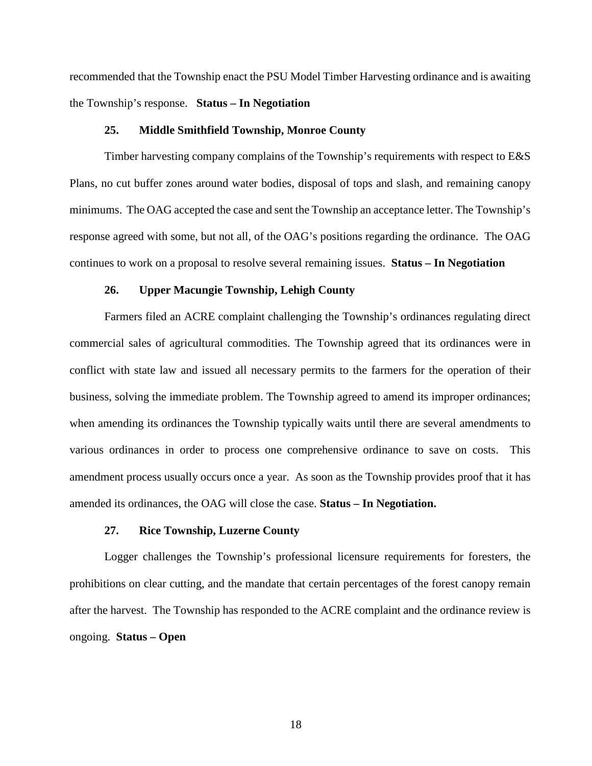recommended that the Township enact the PSU Model Timber Harvesting ordinance and is awaiting the Township's response. **Status – In Negotiation**

## **25. Middle Smithfield Township, Monroe County**

Timber harvesting company complains of the Township's requirements with respect to E&S Plans, no cut buffer zones around water bodies, disposal of tops and slash, and remaining canopy minimums. The OAG accepted the case and sent the Township an acceptance letter. The Township's response agreed with some, but not all, of the OAG's positions regarding the ordinance. The OAG continues to work on a proposal to resolve several remaining issues. **Status – In Negotiation**

### **26. Upper Macungie Township, Lehigh County**

Farmers filed an ACRE complaint challenging the Township's ordinances regulating direct commercial sales of agricultural commodities. The Township agreed that its ordinances were in conflict with state law and issued all necessary permits to the farmers for the operation of their business, solving the immediate problem. The Township agreed to amend its improper ordinances; when amending its ordinances the Township typically waits until there are several amendments to various ordinances in order to process one comprehensive ordinance to save on costs. This amendment process usually occurs once a year. As soon as the Township provides proof that it has amended its ordinances, the OAG will close the case. **Status – In Negotiation.**

#### **27. Rice Township, Luzerne County**

Logger challenges the Township's professional licensure requirements for foresters, the prohibitions on clear cutting, and the mandate that certain percentages of the forest canopy remain after the harvest. The Township has responded to the ACRE complaint and the ordinance review is ongoing. **Status – Open**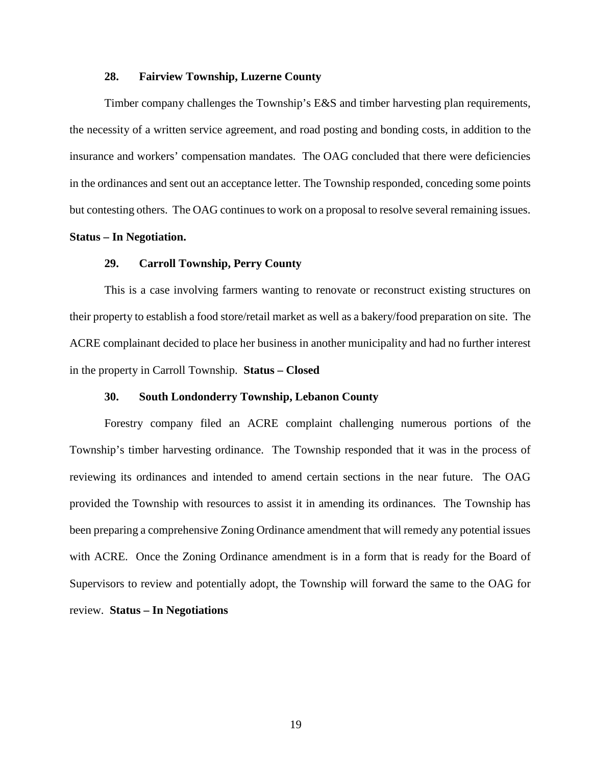## **28. Fairview Township, Luzerne County**

Timber company challenges the Township's E&S and timber harvesting plan requirements, the necessity of a written service agreement, and road posting and bonding costs, in addition to the insurance and workers' compensation mandates. The OAG concluded that there were deficiencies in the ordinances and sent out an acceptance letter. The Township responded, conceding some points but contesting others. The OAG continues to work on a proposal to resolve several remaining issues.

### **Status – In Negotiation.**

### **29. Carroll Township, Perry County**

This is a case involving farmers wanting to renovate or reconstruct existing structures on their property to establish a food store/retail market as well as a bakery/food preparation on site. The ACRE complainant decided to place her business in another municipality and had no further interest in the property in Carroll Township. **Status – Closed**

### **30. South Londonderry Township, Lebanon County**

Forestry company filed an ACRE complaint challenging numerous portions of the Township's timber harvesting ordinance. The Township responded that it was in the process of reviewing its ordinances and intended to amend certain sections in the near future. The OAG provided the Township with resources to assist it in amending its ordinances. The Township has been preparing a comprehensive Zoning Ordinance amendment that will remedy any potential issues with ACRE. Once the Zoning Ordinance amendment is in a form that is ready for the Board of Supervisors to review and potentially adopt, the Township will forward the same to the OAG for review. **Status – In Negotiations**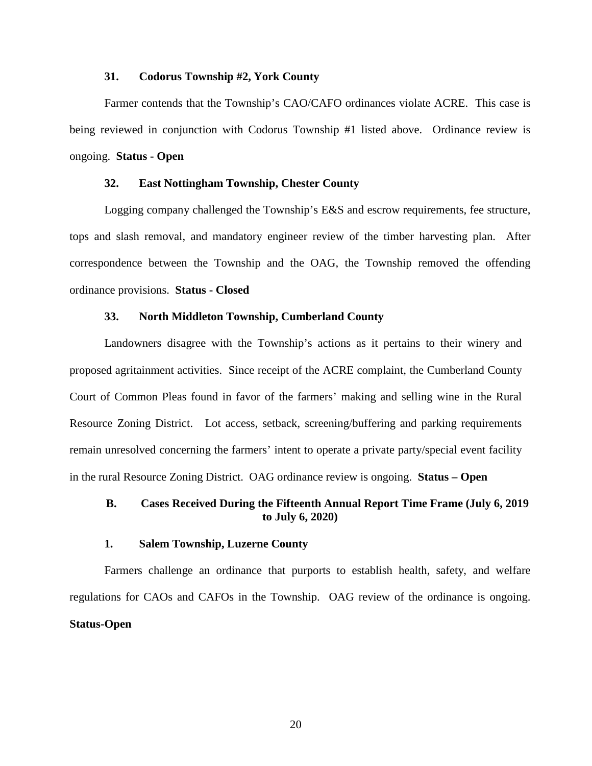### **31. Codorus Township #2, York County**

Farmer contends that the Township's CAO/CAFO ordinances violate ACRE. This case is being reviewed in conjunction with Codorus Township #1 listed above. Ordinance review is ongoing. **Status - Open**

## **32. East Nottingham Township, Chester County**

Logging company challenged the Township's E&S and escrow requirements, fee structure, tops and slash removal, and mandatory engineer review of the timber harvesting plan. After correspondence between the Township and the OAG, the Township removed the offending ordinance provisions. **Status - Closed**

## **33. North Middleton Township, Cumberland County**

Landowners disagree with the Township's actions as it pertains to their winery and proposed agritainment activities. Since receipt of the ACRE complaint, the Cumberland County Court of Common Pleas found in favor of the farmers' making and selling wine in the Rural Resource Zoning District. Lot access, setback, screening/buffering and parking requirements remain unresolved concerning the farmers' intent to operate a private party/special event facility in the rural Resource Zoning District.OAG ordinance review is ongoing. **Status – Open**

## **B. Cases Received During the Fifteenth Annual Report Time Frame (July 6, 2019 to July 6, 2020)**

### **1. Salem Township, Luzerne County**

Farmers challenge an ordinance that purports to establish health, safety, and welfare regulations for CAOs and CAFOs in the Township. OAG review of the ordinance is ongoing. **Status-Open**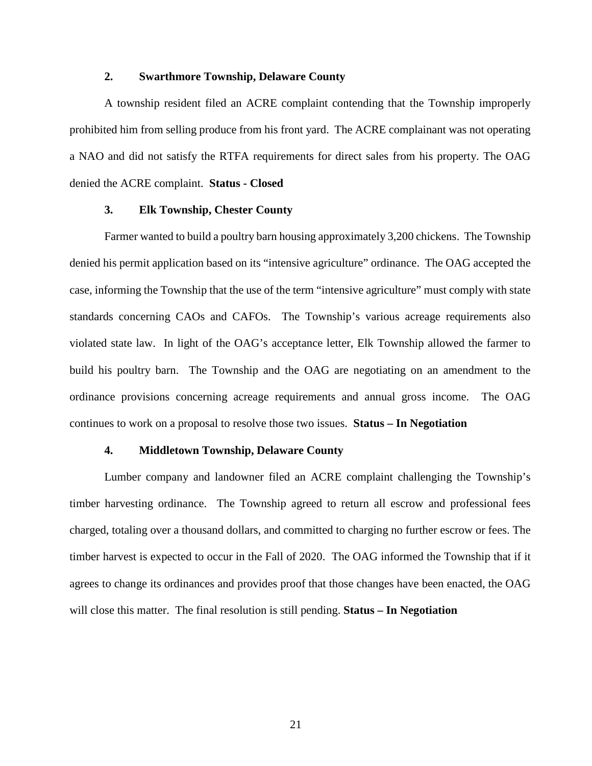## **2. Swarthmore Township, Delaware County**

A township resident filed an ACRE complaint contending that the Township improperly prohibited him from selling produce from his front yard. The ACRE complainant was not operating a NAO and did not satisfy the RTFA requirements for direct sales from his property. The OAG denied the ACRE complaint. **Status - Closed**

## **3. Elk Township, Chester County**

Farmer wanted to build a poultry barn housing approximately 3,200 chickens. The Township denied his permit application based on its "intensive agriculture" ordinance. The OAG accepted the case, informing the Township that the use of the term "intensive agriculture" must comply with state standards concerning CAOs and CAFOs. The Township's various acreage requirements also violated state law. In light of the OAG's acceptance letter, Elk Township allowed the farmer to build his poultry barn. The Township and the OAG are negotiating on an amendment to the ordinance provisions concerning acreage requirements and annual gross income. The OAG continues to work on a proposal to resolve those two issues. **Status – In Negotiation**

## **4. Middletown Township, Delaware County**

Lumber company and landowner filed an ACRE complaint challenging the Township's timber harvesting ordinance. The Township agreed to return all escrow and professional fees charged, totaling over a thousand dollars, and committed to charging no further escrow or fees. The timber harvest is expected to occur in the Fall of 2020. The OAG informed the Township that if it agrees to change its ordinances and provides proof that those changes have been enacted, the OAG will close this matter. The final resolution is still pending. **Status – In Negotiation**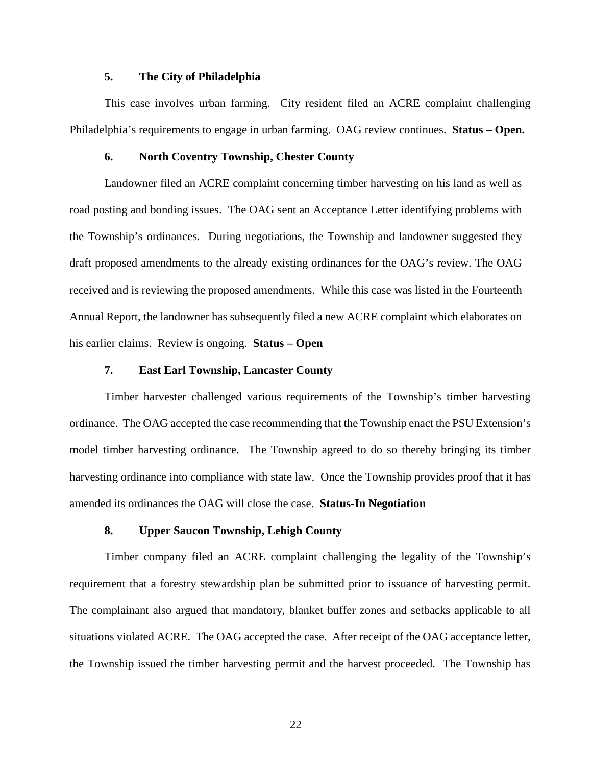## **5. The City of Philadelphia**

This case involves urban farming. City resident filed an ACRE complaint challenging Philadelphia's requirements to engage in urban farming. OAG review continues. **Status – Open.**

### **6. North Coventry Township, Chester County**

Landowner filed an ACRE complaint concerning timber harvesting on his land as well as road posting and bonding issues. The OAG sent an Acceptance Letter identifying problems with the Township's ordinances. During negotiations, the Township and landowner suggested they draft proposed amendments to the already existing ordinances for the OAG's review. The OAG received and is reviewing the proposed amendments. While this case was listed in the Fourteenth Annual Report, the landowner has subsequently filed a new ACRE complaint which elaborates on his earlier claims. Review is ongoing. **Status – Open**

#### **7. East Earl Township, Lancaster County**

Timber harvester challenged various requirements of the Township's timber harvesting ordinance. The OAG accepted the case recommending that the Township enact the PSU Extension's model timber harvesting ordinance. The Township agreed to do so thereby bringing its timber harvesting ordinance into compliance with state law. Once the Township provides proof that it has amended its ordinances the OAG will close the case. **Status-In Negotiation**

## **8. Upper Saucon Township, Lehigh County**

Timber company filed an ACRE complaint challenging the legality of the Township's requirement that a forestry stewardship plan be submitted prior to issuance of harvesting permit. The complainant also argued that mandatory, blanket buffer zones and setbacks applicable to all situations violated ACRE. The OAG accepted the case. After receipt of the OAG acceptance letter, the Township issued the timber harvesting permit and the harvest proceeded. The Township has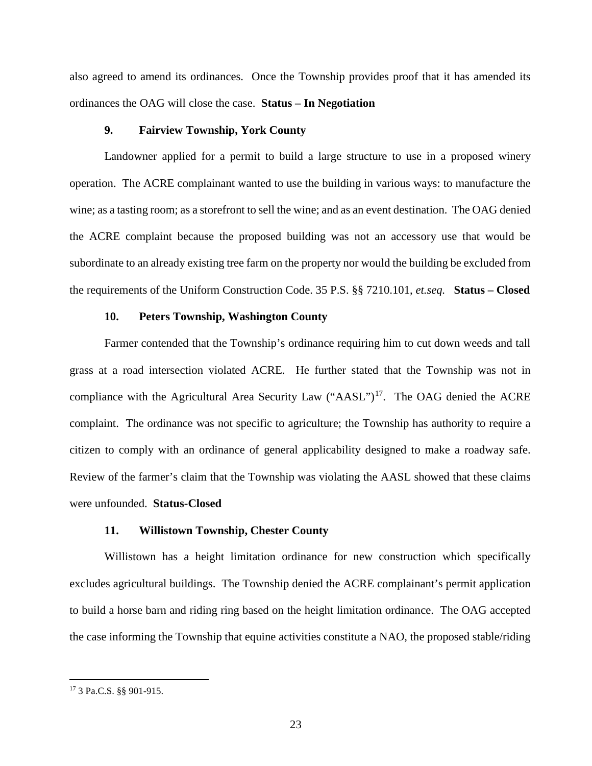also agreed to amend its ordinances. Once the Township provides proof that it has amended its ordinances the OAG will close the case. **Status – In Negotiation**

## **9. Fairview Township, York County**

Landowner applied for a permit to build a large structure to use in a proposed winery operation. The ACRE complainant wanted to use the building in various ways: to manufacture the wine; as a tasting room; as a storefront to sell the wine; and as an event destination. The OAG denied the ACRE complaint because the proposed building was not an accessory use that would be subordinate to an already existing tree farm on the property nor would the building be excluded from the requirements of the Uniform Construction Code. 35 P.S. §§ 7210.101, *et.seq.* **Status – Closed**

## **10. Peters Township, Washington County**

Farmer contended that the Township's ordinance requiring him to cut down weeds and tall grass at a road intersection violated ACRE. He further stated that the Township was not in compliance with the Agricultural Area Security Law  $("AASL")<sup>17</sup>$  $("AASL")<sup>17</sup>$  $("AASL")<sup>17</sup>$ . The OAG denied the ACRE complaint. The ordinance was not specific to agriculture; the Township has authority to require a citizen to comply with an ordinance of general applicability designed to make a roadway safe. Review of the farmer's claim that the Township was violating the AASL showed that these claims were unfounded. **Status-Closed**

### **11. Willistown Township, Chester County**

Willistown has a height limitation ordinance for new construction which specifically excludes agricultural buildings. The Township denied the ACRE complainant's permit application to build a horse barn and riding ring based on the height limitation ordinance. The OAG accepted the case informing the Township that equine activities constitute a NAO, the proposed stable/riding

<span id="page-22-0"></span> <sup>17</sup> 3 Pa.C.S. §§ 901-915.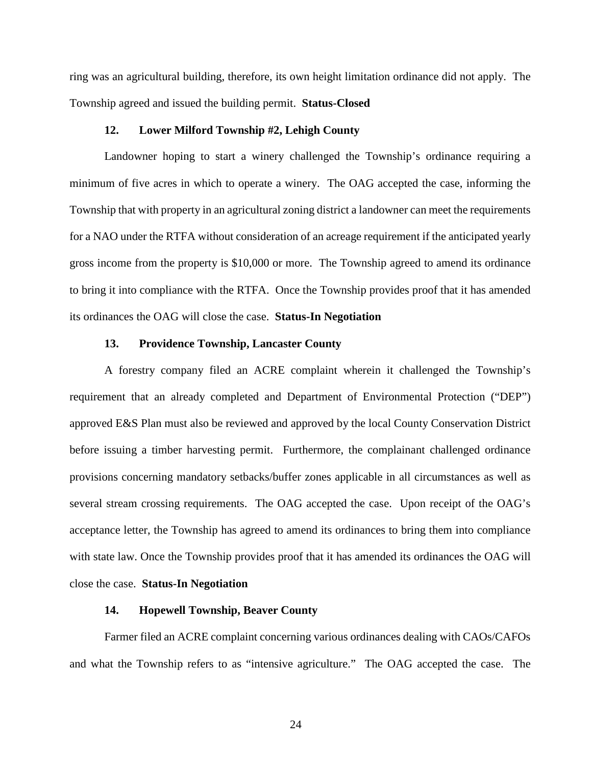ring was an agricultural building, therefore, its own height limitation ordinance did not apply. The Township agreed and issued the building permit. **Status-Closed**

## **12. Lower Milford Township #2, Lehigh County**

Landowner hoping to start a winery challenged the Township's ordinance requiring a minimum of five acres in which to operate a winery. The OAG accepted the case, informing the Township that with property in an agricultural zoning district a landowner can meet the requirements for a NAO under the RTFA without consideration of an acreage requirement if the anticipated yearly gross income from the property is \$10,000 or more. The Township agreed to amend its ordinance to bring it into compliance with the RTFA. Once the Township provides proof that it has amended its ordinances the OAG will close the case. **Status-In Negotiation**

### **13. Providence Township, Lancaster County**

A forestry company filed an ACRE complaint wherein it challenged the Township's requirement that an already completed and Department of Environmental Protection ("DEP") approved E&S Plan must also be reviewed and approved by the local County Conservation District before issuing a timber harvesting permit. Furthermore, the complainant challenged ordinance provisions concerning mandatory setbacks/buffer zones applicable in all circumstances as well as several stream crossing requirements. The OAG accepted the case. Upon receipt of the OAG's acceptance letter, the Township has agreed to amend its ordinances to bring them into compliance with state law. Once the Township provides proof that it has amended its ordinances the OAG will close the case. **Status-In Negotiation**

### **14. Hopewell Township, Beaver County**

Farmer filed an ACRE complaint concerning various ordinances dealing with CAOs/CAFOs and what the Township refers to as "intensive agriculture." The OAG accepted the case. The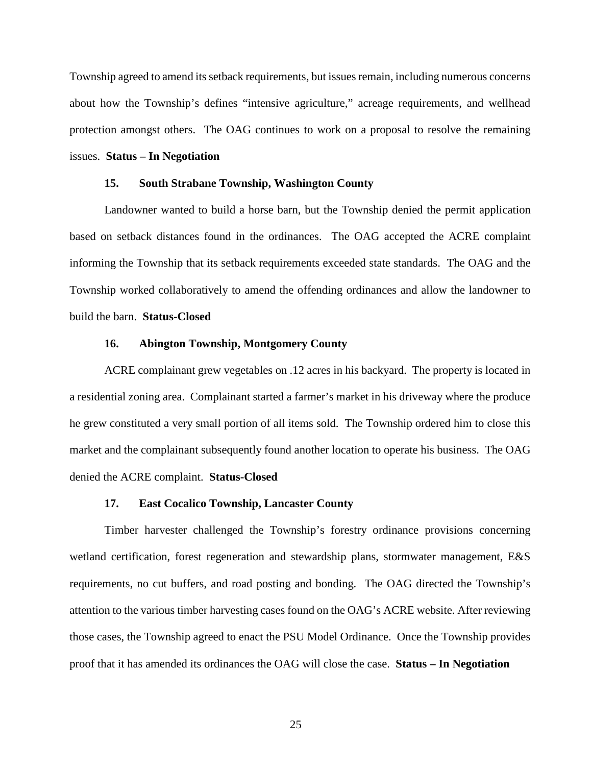Township agreed to amend its setback requirements, but issues remain, including numerous concerns about how the Township's defines "intensive agriculture," acreage requirements, and wellhead protection amongst others. The OAG continues to work on a proposal to resolve the remaining issues. **Status – In Negotiation**

#### **15. South Strabane Township, Washington County**

Landowner wanted to build a horse barn, but the Township denied the permit application based on setback distances found in the ordinances. The OAG accepted the ACRE complaint informing the Township that its setback requirements exceeded state standards. The OAG and the Township worked collaboratively to amend the offending ordinances and allow the landowner to build the barn. **Status-Closed**

### **16. Abington Township, Montgomery County**

ACRE complainant grew vegetables on .12 acres in his backyard. The property is located in a residential zoning area. Complainant started a farmer's market in his driveway where the produce he grew constituted a very small portion of all items sold. The Township ordered him to close this market and the complainant subsequently found another location to operate his business. The OAG denied the ACRE complaint. **Status-Closed**

### **17. East Cocalico Township, Lancaster County**

Timber harvester challenged the Township's forestry ordinance provisions concerning wetland certification, forest regeneration and stewardship plans, stormwater management, E&S requirements, no cut buffers, and road posting and bonding. The OAG directed the Township's attention to the various timber harvesting cases found on the OAG's ACRE website. After reviewing those cases, the Township agreed to enact the PSU Model Ordinance. Once the Township provides proof that it has amended its ordinances the OAG will close the case. **Status – In Negotiation**

25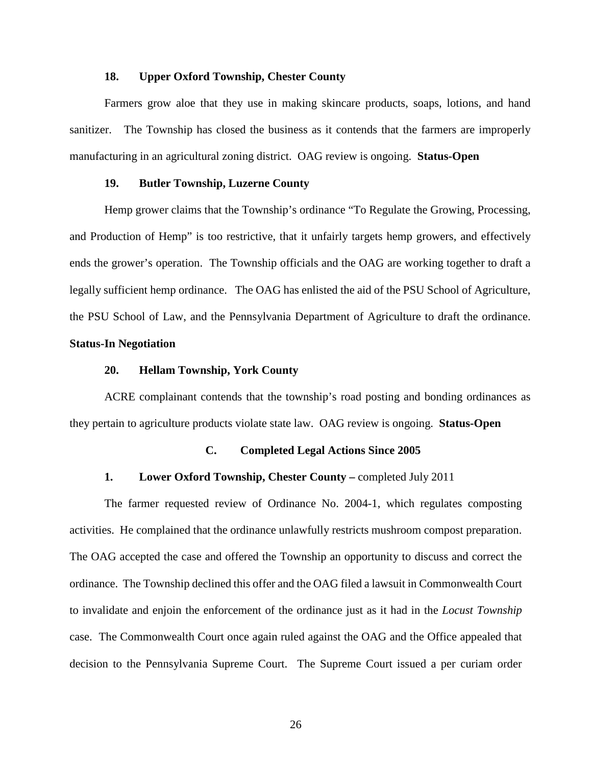### **18. Upper Oxford Township, Chester County**

Farmers grow aloe that they use in making skincare products, soaps, lotions, and hand sanitizer. The Township has closed the business as it contends that the farmers are improperly manufacturing in an agricultural zoning district. OAG review is ongoing. **Status-Open**

### **19. Butler Township, Luzerne County**

Hemp grower claims that the Township's ordinance "To Regulate the Growing, Processing, and Production of Hemp" is too restrictive, that it unfairly targets hemp growers, and effectively ends the grower's operation. The Township officials and the OAG are working together to draft a legally sufficient hemp ordinance. The OAG has enlisted the aid of the PSU School of Agriculture, the PSU School of Law, and the Pennsylvania Department of Agriculture to draft the ordinance.

## **Status-In Negotiation**

### **20. Hellam Township, York County**

ACRE complainant contends that the township's road posting and bonding ordinances as they pertain to agriculture products violate state law. OAG review is ongoing. **Status-Open**

#### **C. Completed Legal Actions Since 2005**

#### **1. Lower Oxford Township, Chester County –** completed July 2011

The farmer requested review of Ordinance No. 2004-1, which regulates composting activities. He complained that the ordinance unlawfully restricts mushroom compost preparation. The OAG accepted the case and offered the Township an opportunity to discuss and correct the ordinance. The Township declined this offer and the OAG filed a lawsuit in Commonwealth Court to invalidate and enjoin the enforcement of the ordinance just as it had in the *Locust Township* case. The Commonwealth Court once again ruled against the OAG and the Office appealed that decision to the Pennsylvania Supreme Court. The Supreme Court issued a per curiam order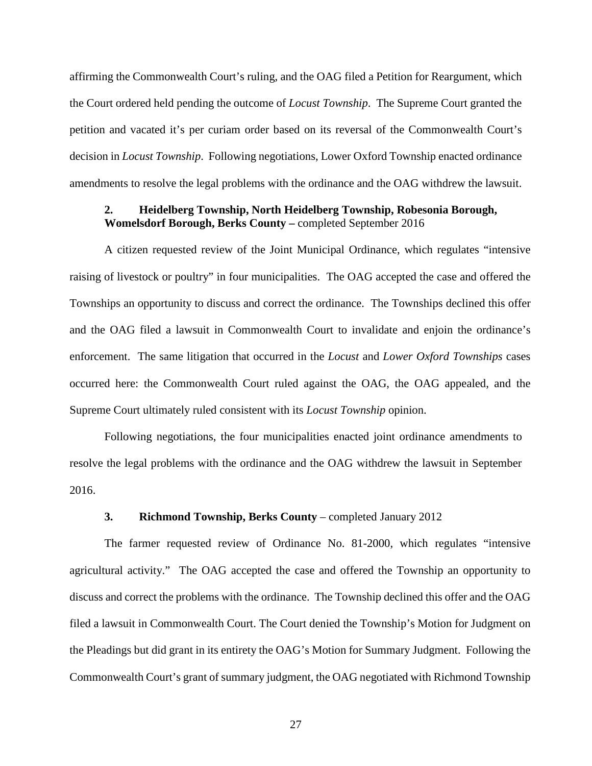affirming the Commonwealth Court's ruling, and the OAG filed a Petition for Reargument, which the Court ordered held pending the outcome of *Locust Township*. The Supreme Court granted the petition and vacated it's per curiam order based on its reversal of the Commonwealth Court's decision in *Locust Township*. Following negotiations, Lower Oxford Township enacted ordinance amendments to resolve the legal problems with the ordinance and the OAG withdrew the lawsuit.

## **2. Heidelberg Township, North Heidelberg Township, Robesonia Borough, Womelsdorf Borough, Berks County –** completed September 2016

A citizen requested review of the Joint Municipal Ordinance, which regulates "intensive raising of livestock or poultry" in four municipalities. The OAG accepted the case and offered the Townships an opportunity to discuss and correct the ordinance. The Townships declined this offer and the OAG filed a lawsuit in Commonwealth Court to invalidate and enjoin the ordinance's enforcement. The same litigation that occurred in the *Locust* and *Lower Oxford Townships* cases occurred here: the Commonwealth Court ruled against the OAG, the OAG appealed, and the Supreme Court ultimately ruled consistent with its *Locust Township* opinion.

Following negotiations, the four municipalities enacted joint ordinance amendments to resolve the legal problems with the ordinance and the OAG withdrew the lawsuit in September 2016.

## **3. Richmond Township, Berks County** – completed January 2012

The farmer requested review of Ordinance No. 81-2000, which regulates "intensive agricultural activity." The OAG accepted the case and offered the Township an opportunity to discuss and correct the problems with the ordinance. The Township declined this offer and the OAG filed a lawsuit in Commonwealth Court. The Court denied the Township's Motion for Judgment on the Pleadings but did grant in its entirety the OAG's Motion for Summary Judgment. Following the Commonwealth Court's grant of summary judgment, the OAG negotiated with Richmond Township

27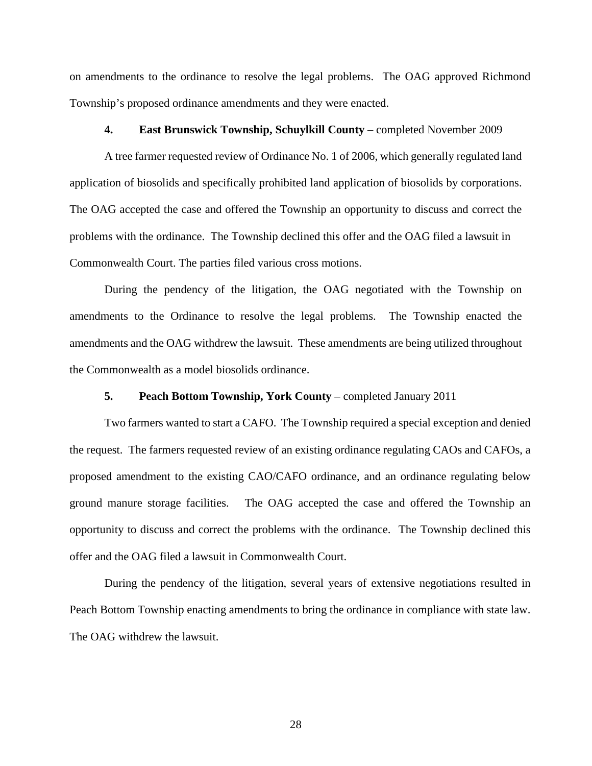on amendments to the ordinance to resolve the legal problems. The OAG approved Richmond Township's proposed ordinance amendments and they were enacted.

## **4. East Brunswick Township, Schuylkill County** – completed November 2009

A tree farmer requested review of Ordinance No. 1 of 2006, which generally regulated land application of biosolids and specifically prohibited land application of biosolids by corporations. The OAG accepted the case and offered the Township an opportunity to discuss and correct the problems with the ordinance. The Township declined this offer and the OAG filed a lawsuit in Commonwealth Court. The parties filed various cross motions.

During the pendency of the litigation, the OAG negotiated with the Township on amendments to the Ordinance to resolve the legal problems. The Township enacted the amendments and the OAG withdrew the lawsuit. These amendments are being utilized throughout the Commonwealth as a model biosolids ordinance.

### **5. Peach Bottom Township, York County** – completed January 2011

Two farmers wanted to start a CAFO. The Township required a special exception and denied the request. The farmers requested review of an existing ordinance regulating CAOs and CAFOs, a proposed amendment to the existing CAO/CAFO ordinance, and an ordinance regulating below ground manure storage facilities. The OAG accepted the case and offered the Township an opportunity to discuss and correct the problems with the ordinance. The Township declined this offer and the OAG filed a lawsuit in Commonwealth Court.

During the pendency of the litigation, several years of extensive negotiations resulted in Peach Bottom Township enacting amendments to bring the ordinance in compliance with state law. The OAG withdrew the lawsuit.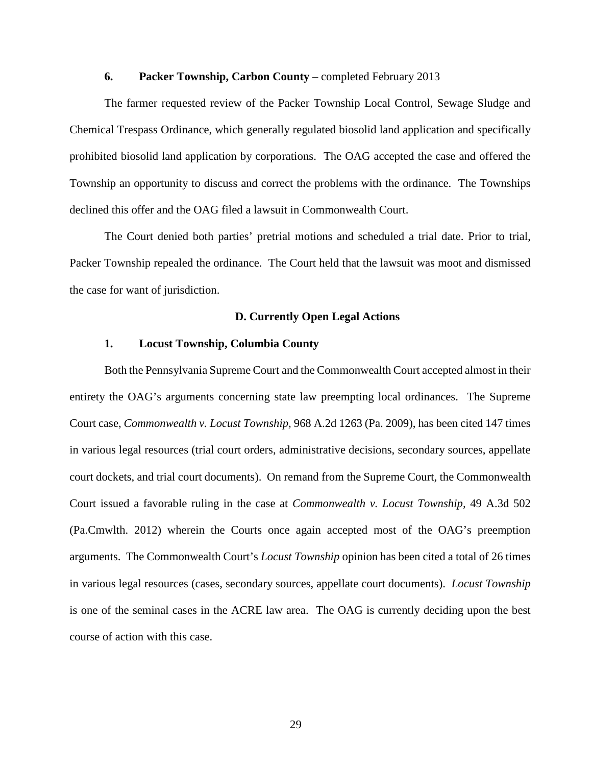## **6. Packer Township, Carbon County** – completed February 2013

The farmer requested review of the Packer Township Local Control, Sewage Sludge and Chemical Trespass Ordinance, which generally regulated biosolid land application and specifically prohibited biosolid land application by corporations. The OAG accepted the case and offered the Township an opportunity to discuss and correct the problems with the ordinance. The Townships declined this offer and the OAG filed a lawsuit in Commonwealth Court.

The Court denied both parties' pretrial motions and scheduled a trial date. Prior to trial, Packer Township repealed the ordinance. The Court held that the lawsuit was moot and dismissed the case for want of jurisdiction.

## **D. Currently Open Legal Actions**

### **1. Locust Township, Columbia County**

Both the Pennsylvania Supreme Court and the Commonwealth Court accepted almost in their entirety the OAG's arguments concerning state law preempting local ordinances. The Supreme Court case, *Commonwealth v. Locust Township,* 968 A.2d 1263 (Pa. 2009), has been cited 147 times in various legal resources (trial court orders, administrative decisions, secondary sources, appellate court dockets, and trial court documents). On remand from the Supreme Court, the Commonwealth Court issued a favorable ruling in the case at *Commonwealth v. Locust Township,* 49 A.3d 502 (Pa.Cmwlth. 2012) wherein the Courts once again accepted most of the OAG's preemption arguments. The Commonwealth Court's *Locust Township* opinion has been cited a total of 26 times in various legal resources (cases, secondary sources, appellate court documents). *Locust Township*  is one of the seminal cases in the ACRE law area. The OAG is currently deciding upon the best course of action with this case.